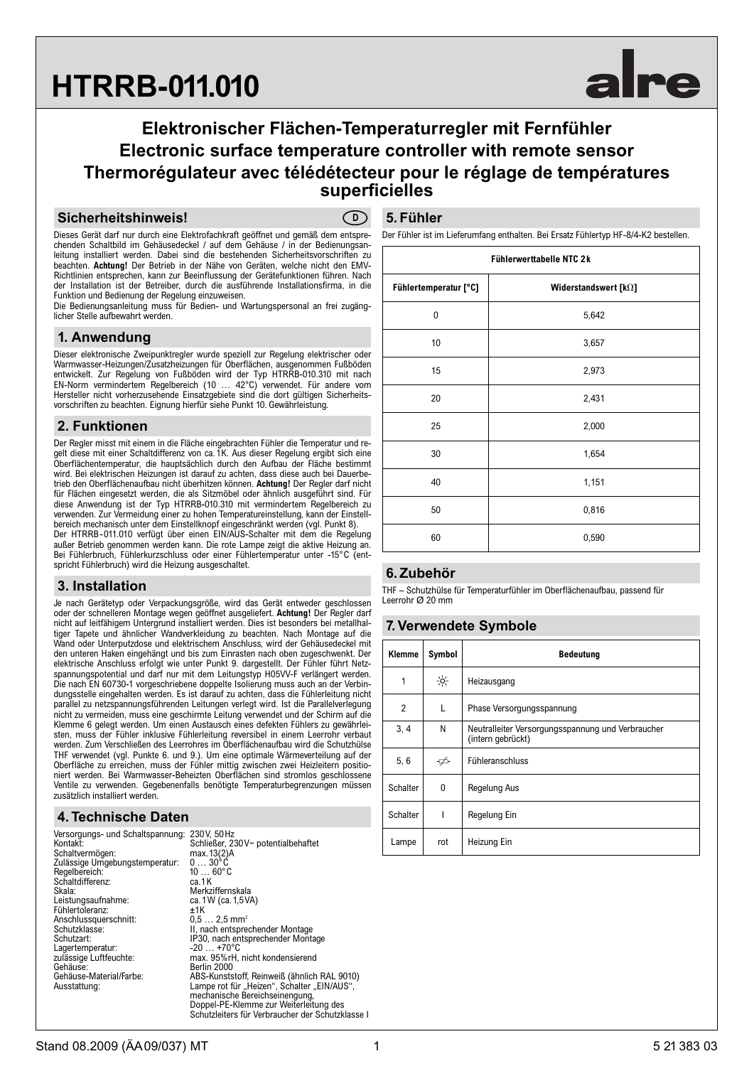# **HTRRB-011.010**

# **Elektronischer Flächen-Temperaturregler mit Fernfühler Electronic surface temperature controller with remote sensor Thermorégulateur avec télédétecteur pour le réglage de températures superficielles**

#### **Sicherheitshinweis!**

**D**

Dieses Gerät darf nur durch eine Elektrofachkraft geöffnet und gemäß dem entsprechenden Schaltbild im Gehäusedeckel / auf dem Gehäuse / in der Bedienungsanleitung installiert werden. Dabei sind die bestehenden Sicherheitsvorschriften zu beachten. **Achtung!** Der Betrieb in der Nähe von Geräten, welche nicht den EMV-Richtlinien entsprechen, kann zur Beeinflussung der Gerätefunktionen führen. Nach der Installation ist der Betreiber, durch die ausführende Installationsfirma, in die Funktion und Bedienung der Regelung einzuweisen.

Die Bedienungsanleitung muss für Bedien- und Wartungspersonal an frei zugänglicher Stelle aufbewahrt werden.

# **1. Anwendung**

Dieser elektronische Zweipunktregler wurde speziell zur Regelung elektrischer oder Warmwasser-Heizungen/Zusatzheizungen für Oberflächen, ausgenommen Fußböden entwickelt. Zur Regelung von Fußböden wird der Typ HTRRB-010.310 mit nach EN-Norm vermindertem Regelbereich (10 … 42°C) verwendet. Für andere vom Hersteller nicht vorherzusehende Einsatzgebiete sind die dort gültigen Sicherheitsvorschriften zu beachten. Eignung hierfür siehe Punkt 10. Gewährleistung.

# **2. Funktionen**

Der Regler misst mit einem in die Fläche eingebrachten Fühler die Temperatur und regelt diese mit einer Schaltdifferenz von ca.1K. Aus dieser Regelung ergibt sich eine Oberflächentemperatur, die hauptsächlich durch den Aufbau der Fläche bestimmt wird. Bei elektrischen Heizungen ist darauf zu achten, dass diese auch bei Dauerbetrieb den Oberflächenaufbau nicht überhitzen können. **Achtung!** Der Regler darf nicht für Flächen eingesetzt werden, die als Sitzmöbel oder ähnlich ausgeführt sind. Für diese Anwendung ist der Typ HTRRB-010.310 mit vermindertem Regelbereich zu verwenden. Zur Vermeidung einer zu hohen Temperatureinstellung, kann der Einstellbereich mechanisch unter dem Einstellknopf eingeschränkt werden (vgl. Punkt 8). Der HTRRB-011.010 verfügt über einen EIN/AUS-Schalter mit dem die Regelung

außer Betrieb genommen werden kann. Die rote Lampe zeigt die aktive Heizung an. Bei Fühlerbruch, Fühlerkurzschluss oder einer Fühlertemperatur unter -15°C (entspricht Fühlerbruch) wird die Heizung ausgeschaltet.

# **3. Installation**

Je nach Gerätetyp oder Verpackungsgröße, wird das Gerät entweder geschlossen oder der schnelleren Montage wegen geöffnet ausgeliefert. **Achtung!** Der Regler darf nicht auf leitfähigem Untergrund installiert werden. Dies ist besonders bei metallhaltiger Tapete und ähnlicher Wandverkleidung zu beachten. Nach Montage auf die Wand oder Unterputzdose und elektrischem Anschluss, wird der Gehäusedeckel mit den unteren Haken eingehängt und bis zum Einrasten nach oben zugeschwenkt. Der elektrische Anschluss erfolgt wie unter Punkt 9. dargestellt. Der Fühler führt Netzspannungspotential und darf nur mit dem Leitungstyp H05VV-F verlängert werden. Die nach EN 60730-1 vorgeschriebene doppelte Isolierung muss auch an der Verbindungsstelle eingehalten werden. Es ist darauf zu achten, dass die Fühlerleitung nicht parallel zu netzspannungsführenden Leitungen verlegt wird. Ist die Parallelverlegung nicht zu vermeiden, muss eine geschirmte Leitung verwendet und der Schirm auf die Klemme 6 gelegt werden. Um einen Austausch eines defekten Fühlers zu gewährleisten, muss der Fühler inklusive Fühlerleitung reversibel in einem Leerrohr verbaut werden. Zum Verschließen des Leerrohres im Oberflächenaufbau wird die Schutzhülse THF verwendet (vgl. Punkte 6. und 9.). Um eine optimale Wärmeverteilung auf der Oberfläche zu erreichen, muss der Fühler mittig zwischen zwei Heizleitern positioniert werden. Bei Warmwasser-Beheizten Oberflächen sind stromlos geschlossene Ventile zu verwenden. Gegebenenfalls benötigte Temperaturbegrenzungen müssen zusätzlich installiert werden.

# **4. Technische Daten**

| Versorgungs- und Schaltspannung: 230 |                    |
|--------------------------------------|--------------------|
| Kontakt:                             | Sch                |
| Schaltvermögen:                      | max                |
| Zulässige Umgebungstemperatur:       | 0                  |
| Regelbereich:                        | 10.                |
| Schaltdifferenz:                     | ca.1               |
| Skala:                               | Mer                |
| Leistungsaufnahme:                   | ca.                |
| Fühlertoleranz:                      | ±1K                |
| Anschlussauerschnitt:                | 0.5                |
| Schutzklasse:                        | II, n              |
| Schutzart:                           | IP3                |
| Lagertemperatur:                     | -20                |
| zulässige Luftfeuchte:               | ma <sub>&gt;</sub> |
| Gehäuse:                             | Berl               |
| Gehäuse-Material/Farbe:              | ABS                |
| Ausstattung:                         | Lam                |
|                                      | mec                |

Versorgungs- und Schaltspannung: 230V, 50Hz Kontakt: Schließer, 230V~ potentialbehaftet  $\max_{13(2)A} 13(2)$  $\cdots$  30 $\overline{C}$  $10 ... 60$ °C  $\overline{\text{ca.1K}}$ Merkziffernskala ca.1W (ca.1,5VA)<br>±1K  $0,5...$  2,5 mm<sup>2</sup> II, nach entsprechender Montage Schutzart: IP30, nach entsprechender Montage  $-20$  … +70°C max. 95%rH, nicht kondensierend Berlin 2000 ABS-Kunststoff, Reinweiß (ähnlich RAL 9010) Ausstattung: Lampe rot für "Heizen", Schalter "EIN/AUS", mechanische Bereichseinengung, Doppel-PE-Klemme zur Weiterleitung des Schutzleiters für Verbraucher der Schutzklasse I

# **5. Fühler**

Der Fühler ist im Lieferumfang enthalten. Bei Ersatz Fühlertyp HF-8/4-K2 bestellen.

| Fühlerwerttabelle NTC 2k |                               |  |
|--------------------------|-------------------------------|--|
| Fühlertemperatur [°C]    | Widerstandswert [ $k\Omega$ ] |  |
| 0                        | 5,642                         |  |
| 10                       | 3,657                         |  |
| 15                       | 2,973                         |  |
| 20                       | 2,431                         |  |
| 25                       | 2,000                         |  |
| 30                       | 1,654                         |  |
| 40                       | 1,151                         |  |
| 50                       | 0,816                         |  |
| 60                       | 0,590                         |  |

# **6. Zubehör**

THF – Schutzhülse für Temperaturfühler im Oberflächenaufbau, passend für Leerrohr Ø 20 mm

# **7. Verwendete Symbole**

| Klemme          | Symbol        | <b>Bedeutung</b>                                                       |
|-----------------|---------------|------------------------------------------------------------------------|
| 1               | $\frac{1}{2}$ | Heizausgang                                                            |
| $\overline{2}$  | L             | Phase Versorgungsspannung                                              |
| 3, 4            | N             | Neutralleiter Versorgungsspannung und Verbraucher<br>(intern gebrückt) |
| 5,6             | ∯             | Fühleranschluss                                                        |
| <b>Schalter</b> | 0             | Regelung Aus                                                           |
| <b>Schalter</b> | ı             | Regelung Ein                                                           |
| Lampe           | rot           | Heizung Ein                                                            |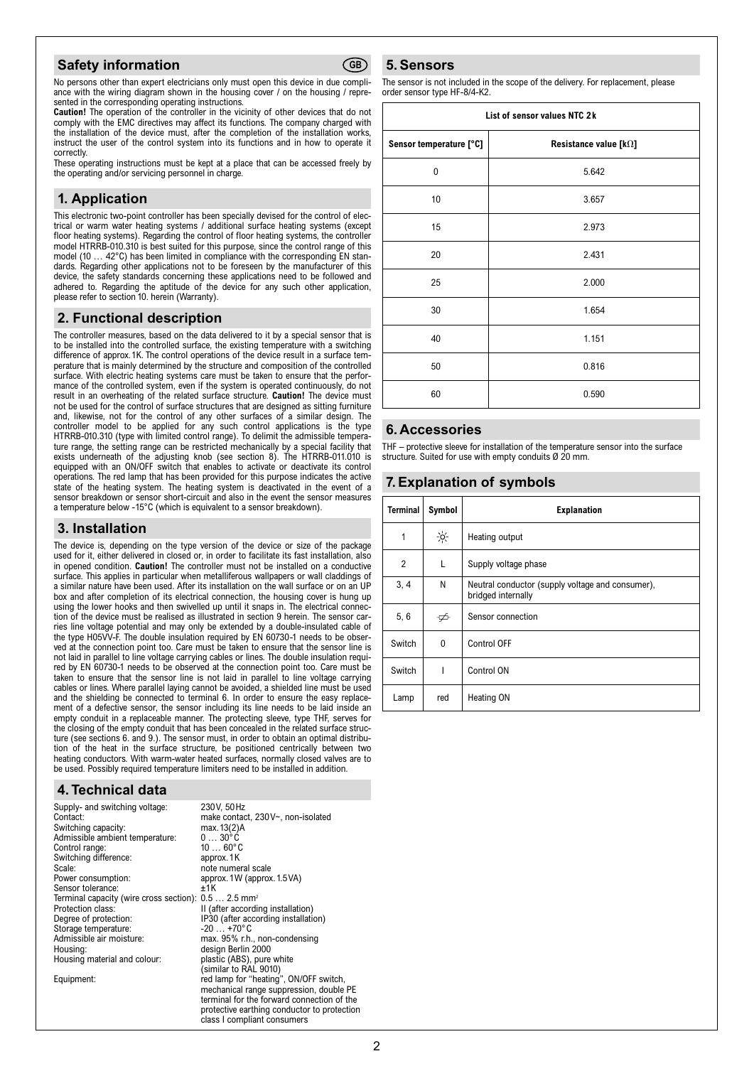#### **Safety information**



No persons other than expert electricians only must open this device in due compliance with the wiring diagram shown in the housing cover / on the housing / represented in the corresponding operating instructions.

**Caution!** The operation of the controller in the vicinity of other devices that do not comply with the EMC directives may affect its functions. The company charged with the installation of the device must, after the completion of the installation works, instruct the user of the control system into its functions and in how to operate it correctly.

These operating instructions must be kept at a place that can be accessed freely by the operating and/or servicing personnel in charge.

# **1. Application**

This electronic two-point controller has been specially devised for the control of electrical or warm water heating systems / additional surface heating systems (except floor heating systems). Regarding the control of floor heating systems, the controller model HTRRB-010.310 is best suited for this purpose, since the control range of this model (10 ... 42°C) has been limited in compliance with the corresponding EN standards. Regarding other applications not to be foreseen by the manufacturer of this device, the safety standards concerning these applications need to be followed and adhered to. Regarding the aptitude of the device for any such other application, please refer to section 10. herein (Warranty).

# **2. Functional description**

The controller measures, based on the data delivered to it by a special sensor that is to be installed into the controlled surface, the existing temperature with a switching difference of approx.1K. The control operations of the device result in a surface temperature that is mainly determined by the structure and composition of the controlled surface. With electric heating systems care must be taken to ensure that the performance of the controlled system, even if the system is operated continuously, do not result in an overheating of the related surface structure. **Caution!** The device must not be used for the control of surface structures that are designed as sitting furniture and, likewise, not for the control of any other surfaces of a similar design. The controller model to be applied for any such control applications is the type HTRRB-010.310 (type with limited control range). To delimit the admissible temperature range, the setting range can be restricted mechanically by a special facility that exists underneath of the adjusting knob (see section 8). The HTRRB-011.010 is equipped with an ON/OFF switch that enables to activate or deactivate its control operations. The red lamp that has been provided for this purpose indicates the active state of the heating system. The heating system is deactivated in the event of a sensor breakdown or sensor short-circuit and also in the event the sensor measures a temperature below -15°C (which is equivalent to a sensor breakdown).

#### **3. Installation**

The device is, depending on the type version of the device or size of the package used for it, either delivered in closed or, in order to facilitate its fast installation, also in opened condition. **Caution!** The controller must not be installed on a conductive surface. This applies in particular when metalliferous wallpapers or wall claddings of a similar nature have been used. After its installation on the wall surface or on an UP box and after completion of its electrical connection, the housing cover is hung up using the lower hooks and then swivelled up until it snaps in. The electrical connection of the device must be realised as illustrated in section 9 herein. The sensor carries line voltage potential and may only be extended by a double-insulated cable of the type H05VV-F. The double insulation required by EN 60730-1 needs to be observed at the connection point too. Care must be taken to ensure that the sensor line is not laid in parallel to line voltage carrying cables or lines. The double insulation required by EN 60730-1 needs to be observed at the connection point too. Care must be taken to ensure that the sensor line is not laid in parallel to line voltage carrying cables or lines. Where parallel laying cannot be avoided, a shielded line must be used and the shielding be connected to terminal 6. In order to ensure the easy replacement of a defective sensor, the sensor including its line needs to be laid inside an empty conduit in a replaceable manner. The protecting sleeve, type THF, serves for the closing of the empty conduit that has been concealed in the related surface structure (see sections 6. and 9.). The sensor must, in order to obtain an optimal distribution of the heat in the surface structure, be positioned centrically between two heating conductors. With warm-water heated surfaces, normally closed valves are to be used. Possibly required temperature limiters need to be installed in addition.

# **4. Technical data**

| Supply- and switching voltage:<br>Contact:                       | 230V, 50Hz<br>make contact, 230V~, non-isolated |
|------------------------------------------------------------------|-------------------------------------------------|
|                                                                  |                                                 |
| Switching capacity:                                              | max. 13(2)A                                     |
| Admissible ambient temperature:                                  | $030$ °C                                        |
| Control range:                                                   | $1060$ °C                                       |
| Switching difference:                                            | approx.1K                                       |
| Scale:                                                           | note numeral scale                              |
| Power consumption:                                               | approx. 1W (approx. 1.5 VA)                     |
| Sensor tolerance:                                                | ±1K                                             |
| Terminal capacity (wire cross section): 0.5  2.5 mm <sup>2</sup> |                                                 |
| Protection class:                                                | II (after according installation)               |
| Degree of protection:                                            | IP30 (after according installation)             |
| Storage temperature:                                             | $-20$ $+70^{\circ}$ C                           |
| Admissible air moisture:                                         | max. 95% r.h., non-condensing                   |
| Housing:                                                         | design Berlin 2000                              |
| Housing material and colour:                                     | plastic (ABS), pure white                       |
|                                                                  | (similar to RAL 9010)                           |
| Equipment:                                                       | red lamp for "heating", ON/OFF switch,          |
|                                                                  | mechanical range suppression, double PE         |
|                                                                  | terminal for the forward connection of the      |
|                                                                  | protective earthing conductor to protection     |
|                                                                  | class I compliant consumers                     |
|                                                                  |                                                 |

#### **5. Sensors**

The sensor is not included in the scope of the delivery. For replacement, please order sensor type HF-8/4-K2.

| List of sensor values NTC 2k |                                |  |
|------------------------------|--------------------------------|--|
| Sensor temperature [°C]      | Resistance value [ $k\Omega$ ] |  |
| $\mathbf{0}$                 | 5.642                          |  |
| 10                           | 3.657                          |  |
| 15                           | 2.973                          |  |
| 20                           | 2.431                          |  |
| 25                           | 2.000                          |  |
| 30                           | 1.654                          |  |
| 40                           | 1.151                          |  |
| 50                           | 0.816                          |  |
| 60                           | 0.590                          |  |

#### **6. Accessories**

THF – protective sleeve for installation of the temperature sensor into the surface structure. Suited for use with empty conduits Ø 20 mm.

# **7. Explanation of symbols**

| Terminal       | Symbol        | <b>Explanation</b>                                                     |
|----------------|---------------|------------------------------------------------------------------------|
| 1              | $\frac{1}{2}$ | Heating output                                                         |
| $\overline{2}$ | L             | Supply voltage phase                                                   |
| 3, 4           | N             | Neutral conductor (supply voltage and consumer),<br>bridged internally |
| 5, 6           | ∯             | Sensor connection                                                      |
| Switch         | 0             | Control OFF                                                            |
| Switch         | ı             | Control ON                                                             |
| Lamp           | red           | Heating ON                                                             |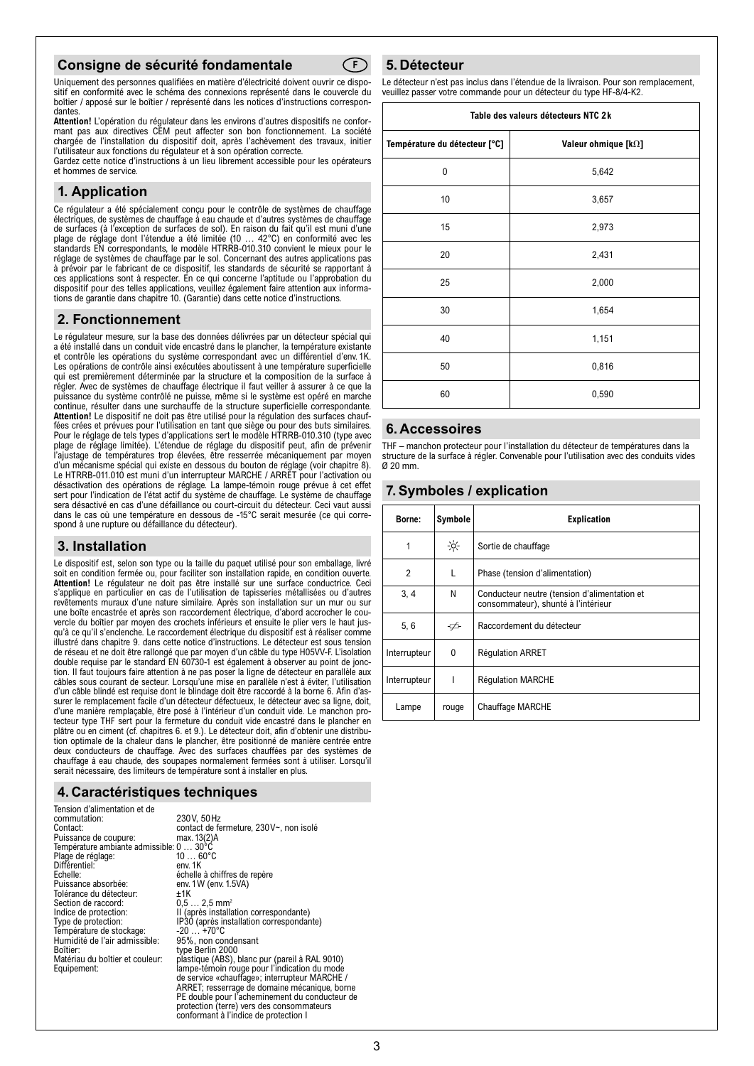#### **Consigne de sécurité fondamentale**

Uniquement des personnes qualifiées en matière d'électricité doivent ouvrir ce dispo-<br>sitif en conformité avec le schéma des connexions représenté dans le couvercle du sitif en conformité avec le schéma des connexions représenté dans le couvercle du boîtier / apposé sur le boîtier / représenté dans les notices d'instructions correspondantes.

**Attention!** L'opération du régulateur dans les environs d'autres dispositifs ne confor-mant pas aux directives CEM peut affecter son bon fonctionnement. La société chargée de l'installation du dispositif doit, après l'achèvement des travaux, initier l'utilisateur aux fonctions du régulateur et à son opération correcte.

Gardez cette notice d'instructions à un lieu librement accessible pour les opérateurs et hommes de service.

#### **1. Application**

Ce régulateur a été spécialement conçu pour le contrôle de systèmes de chauffage électriques, de systèmes de chauffage à eau chaude et d'autres systèmes de chauffage de surfaces (à l'exception de surfaces de sol). En raison du fait qu'il est muni d'une plage de réglage dont l'étendue a été limitée (10 … 42°C) en conformité avec les standards EN correspondants, le modèle HTRRB-010.310 convient le mieux pour le réglage de systèmes de chauffage par le sol. Concernant des autres applications pas à prévoir par le fabricant de ce dispositif, les standards de sécurité se rapportant à ces applications sont à respecter. En ce qui concerne l'aptitude ou l'approbation du dispositif pour des telles applications, veuillez également faire attention aux informations de garantie dans chapitre 10. (Garantie) dans cette notice d'instructions.

#### **2. Fonctionnement**

Le régulateur mesure, sur la base des données délivrées par un détecteur spécial qui a été installé dans un conduit vide encastré dans le plancher, la température existante et contrôle les opérations du système correspondant avec un différentiel d'env. 1K. Les opérations de contrôle ainsi exécutées aboutissent à une température superficielle qui est premièrement déterminée par la structure et la composition de la surface à régler. Avec de systèmes de chauffage électrique il faut veiller à assurer à ce que la puissance du système contrôlé ne puisse, même si le système est opéré en marche continue, résulter dans une surchauffe de la structure superficielle correspondante. **Attention!** Le dispositif ne doit pas être utilisé pour la régulation des surfaces chauffées crées et prévues pour l'utilisation en tant que siège ou pour des buts similaires. Pour le réglage de tels types d'applications sert le modèle HTRRB-010.310 (type avec plage de réglage limitée). L'étendue de réglage du dispositif peut, afin de prévenir l'ajustage de températures trop élevées, être resserrée mécaniquement par moyen d'un mécanisme spécial qui existe en dessous du bouton de réglage (voir chapitre 8). Le HTRRB-011.010 est muni d'un interrupteur MARCHE / ARRET pour l'activation ou désactivation des opérations de réglage. La lampe-témoin rouge prévue à cet effet sert pour l'indication de l'état actif du système de chauffage. Le système de chauffage sera désactivé en cas d'une défaillance ou court-circuit du détecteur. Ceci vaut aussi dans le cas où une température en dessous de -15°C serait mesurée (ce qui correspond à une rupture ou défaillance du détecteur).

#### **3. Installation**

Le dispositif est, selon son type ou la taille du paquet utilisé pour son emballage, livré soit en condition fermée ou, pour faciliter son installation rapide, en condition ouverte. Attention! Le régulateur ne doit pas être installé sur une surface conductrice. Ceci s'applique en particulier en cas de l'utilisation de tapisseries métallisées ou d'autres revêtements muraux d'une nature similaire. Après son installation sur un mur ou sur une boîte encastrée et après son raccordement électrique, d'abord accrocher le cou-vercle du boîtier par moyen des crochets inférieurs et ensuite le plier vers le haut jusqu'à ce qu'il s'enclenche. Le raccordement électrique du dispositif est à réaliser comme illustré dans chapitre 9. dans cette notice d'instructions. Le détecteur est sous tension de réseau et ne doit être rallongé que par moyen d'un câble du type H05VV-F. L'isolation<br>double requise par le standard EN 60730-1 est également à observer au point de jonc-<br>tion. Il faut toujours faire attention à ne pas câbles sous courant de secteur. Lorsqu'une mise en parallèle n'est à éviter, l'utilisation d'un câble blindé est requise dont le blindage doit être raccordé à la borne 6. Afin d'assurer le remplacement facile d'un détecteur défectueux, le détecteur avec sa ligne, doit, d'une manière remplaçable, être posé à l'intérieur d'un conduit vide. Le manchon protecteur type THF sert pour la fermeture du conduit vide encastré dans le plancher en plâtre ou en ciment (cf. chapitres 6. et 9.). Le détecteur doit, afin d'obtenir une distribution optimale de la chaleur dans le plancher, être positionné de manière centrée entre deux conducteurs de chauffage. Avec des surfaces chauffées par des systèmes de chauffage à eau chaude, des soupapes normalement fermées sont à utiliser. Lorsqu'il serait nécessaire, des limiteurs de température sont à installer en plus.

# **4. Caractéristiques techniques**

| 230V, 50Hz                                     |
|------------------------------------------------|
| contact de fermeture, 230V~, non isolé         |
| max. 13(2)A                                    |
| Température ambiante admissible: 0  30°C       |
| $1060^{\circ}$ C                               |
| env. 1K                                        |
| échelle à chiffres de repère                   |
| env. 1 W (env. 1.5VA)                          |
| +1K                                            |
| $0.5 2.5$ mm <sup>2</sup>                      |
| II (après installation correspondante)         |
| IP30 (après installation correspondante)       |
| -20 … +70°C                                    |
| 95%, non condensant                            |
| type Berlin 2000                               |
| plastique (ABS), blanc pur (pareil à RAL 9010) |
| lampe-témoin rouge pour l'indication du mode   |
| de service «chauffage»; interrupteur MARCHE /  |
| ARRET; resserrage de domaine mécanique, borne  |
| PE double pour l'acheminement du conducteur de |
| protection (terre) vers des consommateurs      |
| conformant à l'indice de protection I          |
|                                                |

#### **5. Détecteur** Le détecteur n'est pas inclus dans l'étendue de la livraison. Pour son remplacement,

**Table des valeurs détecteurs NTC 2k Température du détecteur [°C] Valeur ohmique [k]** veuillez passer votre commande pour un détecteur du type HF-8/4-K2.

| Température du détecteur [°C] | Valeur ohmique [k $\Omega$ ] |
|-------------------------------|------------------------------|
| $\mathbf 0$                   | 5,642                        |
| 10                            | 3,657                        |
| 15                            | 2,973                        |
| 20                            | 2,431                        |
| 25                            | 2,000                        |
| 30                            | 1,654                        |
| 40                            | 1,151                        |
| 50                            | 0,816                        |
| 60                            | 0,590                        |

#### **6. Accessoires**

THF – manchon protecteur pour l'installation du détecteur de températures dans la structure de la surface à régler. Convenable pour l'utilisation avec des conduits vides Ø 20 mm.

#### **7. Symboles / explication**

| Borne:         | Symbole | <b>Explication</b>                                                                  |
|----------------|---------|-------------------------------------------------------------------------------------|
| 1              | $-6$    | Sortie de chauffage                                                                 |
| $\overline{2}$ | L       | Phase (tension d'alimentation)                                                      |
| 3, 4           | N       | Conducteur neutre (tension d'alimentation et<br>consommateur), shunté à l'intérieur |
| 5, 6           | ∯       | Raccordement du détecteur                                                           |
| Interrupteur   | 0       | <b>Réqulation ARRET</b>                                                             |
| Interrupteur   |         | <b>Réqulation MARCHE</b>                                                            |
| Lampe          | rouge   | <b>Chauffage MARCHE</b>                                                             |